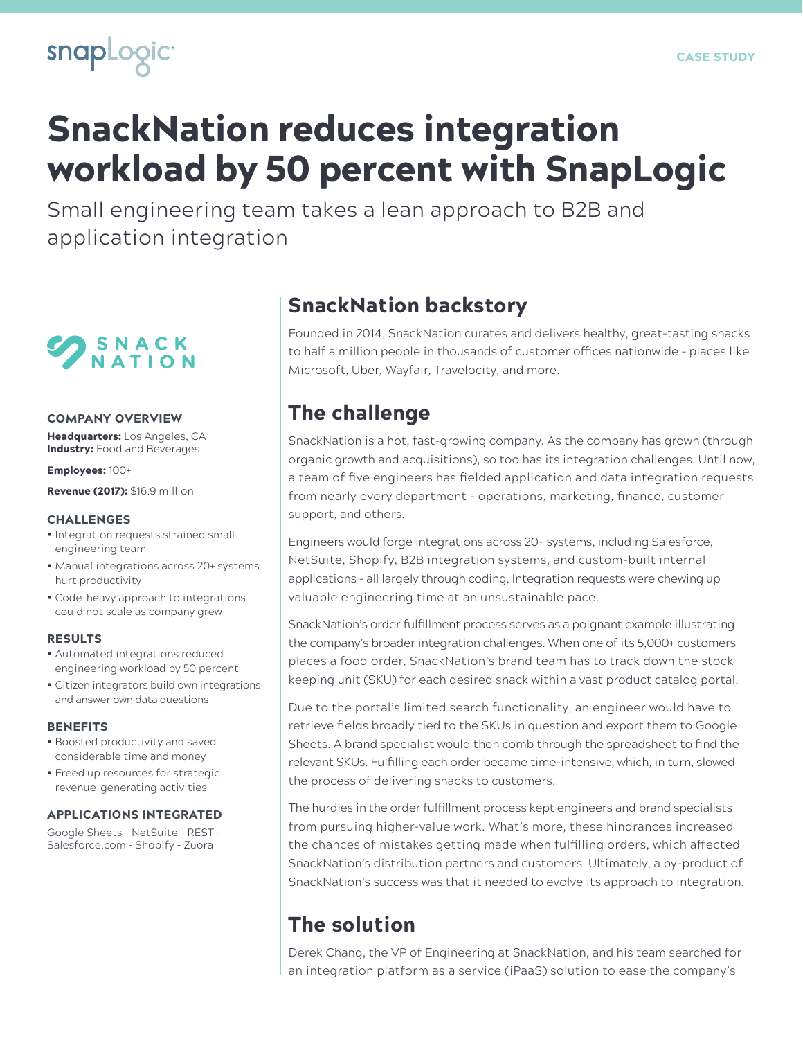

# SnackNation reduces integration workload by 50 percent with SnapLogic

Small engineering team takes a lean approach to B2B and application integration



### COMPANY OVERVIEW

Headquarters: Los Angeles, CA **Industry: Food and Beverages** 

Employees: 100+

Revenue (2017): \$16.9 million

#### CHALLENGES

- Integration requests strained small engineering team
- Manual integrations across 20+ systems hurt productivity
- Code-heavy approach to integrations could not scale as company grew

### RESULTS

- Automated integrations reduced engineering workload by 50 percent
- Citizen integrators build own integrations and answer own data questions

### **BENEFITS**

- Boosted productivity and saved considerable time and money
- Freed up resources for strategic revenue-generating activities

### APPLICATIONS INTEGRATED

Google Sheets – NetSuite – REST – Salesforce.com – Shopify – Zuora

### SnackNation backstory

Founded in 2014, SnackNation curates and delivers healthy, great-tasting snacks to half a million people in thousands of customer offices nationwide – places like Microsoft, Uber, Wayfair, Travelocity, and more.

### The challenge

SnackNation is a hot, fast-growing company. As the company has grown (through organic growth and acquisitions), so too has its integration challenges. Until now, a team of five engineers has fielded application and data integration requests from nearly every department – operations, marketing, finance, customer support, and others.

Engineers would forge integrations across 20+ systems, including Salesforce, NetSuite, Shopify, B2B integration systems, and custom-built internal applications – all largely through coding. Integration requests were chewing up valuable engineering time at an unsustainable pace.

SnackNation's order fulfillment process serves as a poignant example illustrating the company's broader integration challenges. When one of its 5,000+ customers places a food order, SnackNation's brand team has to track down the stock keeping unit (SKU) for each desired snack within a vast product catalog portal.

Due to the portal's limited search functionality, an engineer would have to retrieve fields broadly tied to the SKUs in question and export them to Google Sheets. A brand specialist would then comb through the spreadsheet to find the relevant SKUs. Fulfilling each order became time-intensive, which, in turn, slowed the process of delivering snacks to customers.

The hurdles in the order fulfillment process kept engineers and brand specialists from pursuing higher-value work. What's more, these hindrances increased the chances of mistakes getting made when fulfilling orders, which affected SnackNation's distribution partners and customers. Ultimately, a by-product of SnackNation's success was that it needed to evolve its approach to integration.

### The solution

Derek Chang, the VP of Engineering at SnackNation, and his team searched for an integration platform as a service (iPaaS) solution to ease the company's